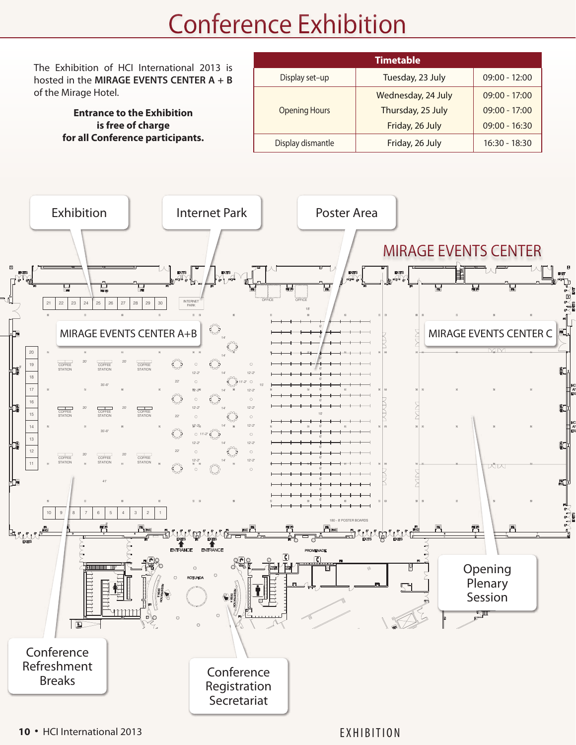## Conference Exhibition

**Timetable** The Exhibition of HCI International 2013 is Display set–up Tuesday, 23 July 09:00 - 12:00 hosted in the **MIRAGE EVENTS CENTER A + B** of the Mirage Hotel. Wednesday, 24 July 09:00 - 17:00 Opening Hours Thursday, 25 July 09:00 - 17:00 **Entrance to the Exhibition**  $\text{arge}$  Friday, 26 June 1991, 2013 **is free of charge**  09:00 - 16:30 Friday, 26 July **for all Conference participants.** Display dismantle Friday, 26 July 16:30 - 18:30 LAS VEGAS, NEVADA Exhibition Internet Park Poster Area MIRAGE EVENTS CENTER  $\frac{p}{\sqrt{q}}$  $\frac{p_{\text{max}}}{\sqrt{q}}$ 8' OFFICE OFFICE INTERNET 21 22 23 24 25 26 27 28 29 30 PARK 18' 6' MIRAGE EVENTS CENTER A+B  $\begin{bmatrix} \begin{matrix} 4 \ \end{matrix} & \begin{matrix} 4 \ \end{matrix} & \begin{matrix} 4 \ \end{matrix} & \begin{matrix} 4 \ \end{matrix} & \begin{matrix} 4 \ \end{matrix} & \begin{matrix} 4 \ \end{matrix} & \begin{matrix} 4 \ \end{matrix} & \begin{matrix} 4 \ \end{matrix} & \begin{matrix} 4 \ \end{matrix} & \begin{matrix} 4 \ \end{matrix} & \begin{matrix} 4 \ \end{matrix} & \begin{matrix} 4 \ \end{matrix} & \begin{matrix} 4 \ \end{matrix} & \begin{matrix} 4$ 6' 14' 6' MM 20 14' 6'  $\overline{\phantom{a}}$ 20' 20' 19 COFFEE COFFEE 8' 6' STATION STATION STATION 12'-2" 14' 12'-2" 18 6' 22' 11'-2" 35'-6" 15' 17 6' 12'-2" 14' 12'-2" 6' 16 COFFEE COFFEE 20' 20' 12'-2" 14' 12'-2" 15 COFFEE 10' STATION STATION STATION 22' 14 12'-2" 14' 12'-2" 6' 35'-6" 11'-2" <sub>13</sub> 6' 12'-2" 14' 12'-2" 6' 12 22' 20' 20' COFFEE COFFEE COFFEE 6' 12'-2" 14' 12'-2" STATION STATION STATION w 11 6' <sup>H</sup>B 6' 41' 6' 6'  $10 9 8 7 6$ 180 - 8' POSTER BOARDS 8' **ALLAELLAE** FNT Opening **Plenary** Session ╰╨  $\sqrt{2}$ Conference Refreshment Conference Breaks Registration Secretariat